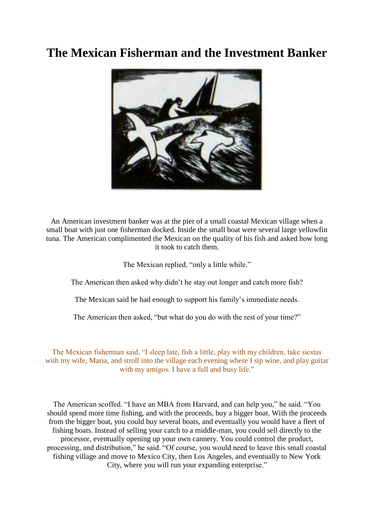## **The Mexican Fisherman and the Investment Banker**



An American investment banker was at the pier of a small coastal Mexican village when a small boat with just one fisherman docked. Inside the small boat were several large yellowfin tuna. The American complimented the Mexican on the quality of his fish and asked how long it took to catch them.

The Mexican replied, "only a little while."

The American then asked why didn't he stay out longer and catch more fish?

The Mexican said he had enough to support his family's immediate needs.

The American then asked, "but what do you do with the rest of your time?"

The Mexican fisherman said, "I sleep late, fish a little, play with my children, take siestas with my wife, Maria, and stroll into the village each evening where I sip wine, and play guitar with my amigos. I have a full and busy life."

The American scoffed. "I have an MBA from Harvard, and can help you," he said. "You should spend more time fishing, and with the proceeds, buy a bigger boat. With the proceeds from the bigger boat, you could buy several boats, and eventually you would have a fleet of fishing boats. Instead of selling your catch to a middle-man, you could sell directly to the processor, eventually opening up your own cannery. You could control the product, processing, and distribution," he said. "Of course, you would need to leave this small coastal fishing village and move to Mexico City, then Los Angeles, and eventually to New York City, where you will run your expanding enterprise."